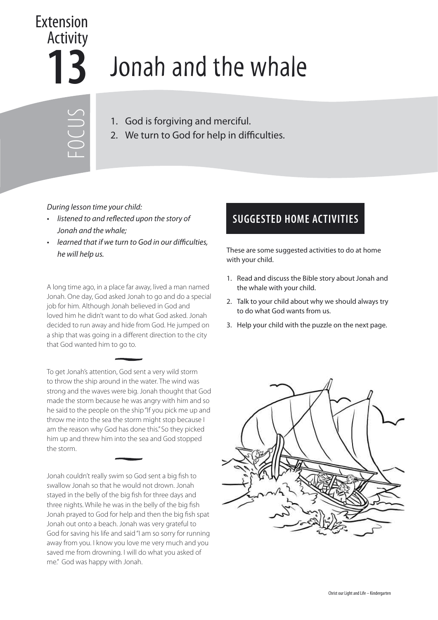## Extension Activity

## **13** Jonah and the whale

FOCUS

- 1. God is forgiving and merciful.
- 2. We turn to God for help in difficulties.

## During lesson time your child:

- listened to and reflected upon the story of Jonah and the whale;
- learned that if we turn to God in our difficulties,

A long time ago, in a place far away, lived a man named Jonah. One day, God asked Jonah to go and do a special job for him. Although Jonah believed in God and loved him he didn't want to do what God asked. Jonah decided to run away and hide from God. He jumped on a ship that was going in a different direction to the city that God wanted him to go to.

To get Jonah's attention, God sent a very wild storm to throw the ship around in the water. The wind was strong and the waves were big. Jonah thought that God made the storm because he was angry with him and so he said to the people on the ship "If you pick me up and throw me into the sea the storm might stop because I am the reason why God has done this." So they picked him up and threw him into the sea and God stopped the storm.

Jonah couldn't really swim so God sent a big fish to swallow Jonah so that he would not drown. Jonah stayed in the belly of the big fish for three days and three nights. While he was in the belly of the big fish Jonah prayed to God for help and then the big fish spat Jonah out onto a beach. Jonah was very grateful to God for saving his life and said "I am so sorry for running away from you. I know you love me very much and you saved me from drowning. I will do what you asked of me." God was happy with Jonah.

## **SUGGESTED HOME ACTIVITIES**

he will help us. These are some suggested activities to do at home with your child.

- 1. Read and discuss the Bible story about Jonah and the whale with your child.
- 2. Talk to your child about why we should always try to do what God wants from us.
- 3. Help your child with the puzzle on the next page.